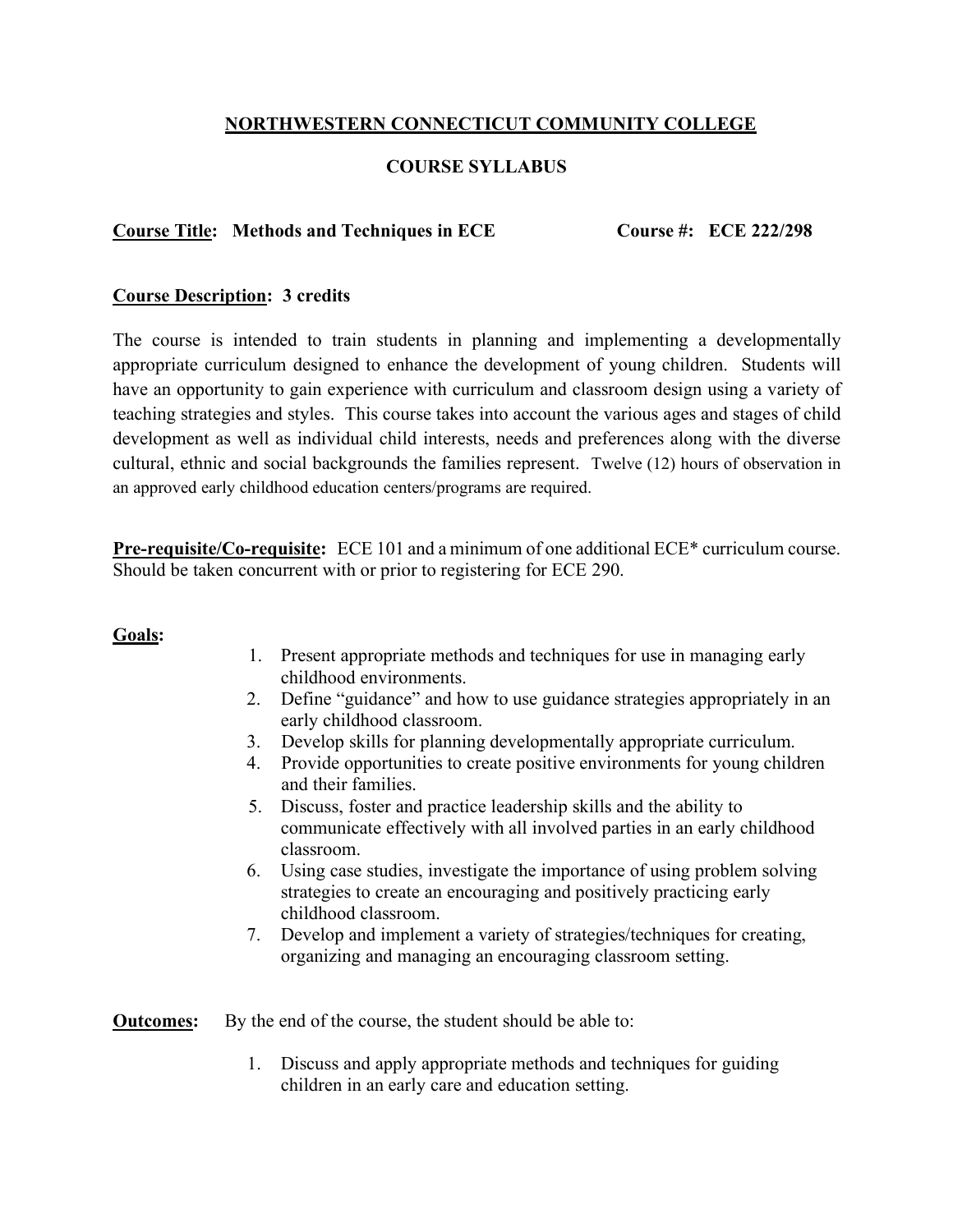# **NORTHWESTERN CONNECTICUT COMMUNITY COLLEGE**

## **COURSE SYLLABUS**

#### **Course Title: Methods and Techniques in ECE Course #: ECE 222/298**

### **Course Description: 3 credits**

The course is intended to train students in planning and implementing a developmentally appropriate curriculum designed to enhance the development of young children. Students will have an opportunity to gain experience with curriculum and classroom design using a variety of teaching strategies and styles. This course takes into account the various ages and stages of child development as well as individual child interests, needs and preferences along with the diverse cultural, ethnic and social backgrounds the families represent. Twelve (12) hours of observation in an approved early childhood education centers/programs are required.

**Pre-requisite/Co-requisite:** ECE 101 and a minimum of one additional ECE\* curriculum course. Should be taken concurrent with or prior to registering for ECE 290.

#### **Goals:**

- 1. Present appropriate methods and techniques for use in managing early childhood environments.
- 2. Define "guidance" and how to use guidance strategies appropriately in an early childhood classroom.
- 3. Develop skills for planning developmentally appropriate curriculum.
- 4. Provide opportunities to create positive environments for young children and their families.
- 5. Discuss, foster and practice leadership skills and the ability to communicate effectively with all involved parties in an early childhood classroom.
- 6. Using case studies, investigate the importance of using problem solving strategies to create an encouraging and positively practicing early childhood classroom.
- 7. Develop and implement a variety of strategies/techniques for creating, organizing and managing an encouraging classroom setting.

**Outcomes:** By the end of the course, the student should be able to:

1. Discuss and apply appropriate methods and techniques for guiding children in an early care and education setting.